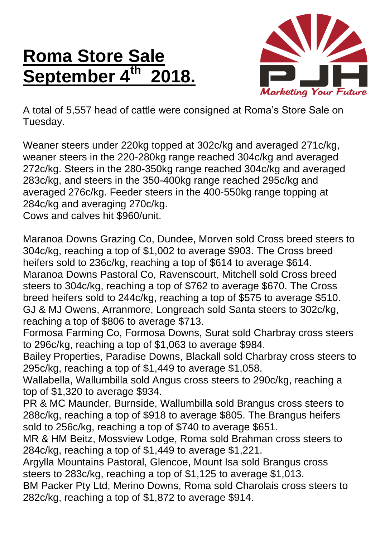## **Roma Store Sale September 4th 2018.**



A total of 5,557 head of cattle were consigned at Roma's Store Sale on Tuesday.

Weaner steers under 220kg topped at 302c/kg and averaged 271c/kg, weaner steers in the 220-280kg range reached 304c/kg and averaged 272c/kg. Steers in the 280-350kg range reached 304c/kg and averaged 283c/kg, and steers in the 350-400kg range reached 295c/kg and averaged 276c/kg. Feeder steers in the 400-550kg range topping at 284c/kg and averaging 270c/kg.

Cows and calves hit \$960/unit.

Maranoa Downs Grazing Co, Dundee, Morven sold Cross breed steers to 304c/kg, reaching a top of \$1,002 to average \$903. The Cross breed heifers sold to 236c/kg, reaching a top of \$614 to average \$614. Maranoa Downs Pastoral Co, Ravenscourt, Mitchell sold Cross breed steers to 304c/kg, reaching a top of \$762 to average \$670. The Cross breed heifers sold to 244c/kg, reaching a top of \$575 to average \$510. GJ & MJ Owens, Arranmore, Longreach sold Santa steers to 302c/kg, reaching a top of \$806 to average \$713.

Formosa Farming Co, Formosa Downs, Surat sold Charbray cross steers to 296c/kg, reaching a top of \$1,063 to average \$984.

Bailey Properties, Paradise Downs, Blackall sold Charbray cross steers to 295c/kg, reaching a top of \$1,449 to average \$1,058.

Wallabella, Wallumbilla sold Angus cross steers to 290c/kg, reaching a top of \$1,320 to average \$934.

PR & MC Maunder, Burnside, Wallumbilla sold Brangus cross steers to 288c/kg, reaching a top of \$918 to average \$805. The Brangus heifers sold to 256c/kg, reaching a top of \$740 to average \$651.

MR & HM Beitz, Mossview Lodge, Roma sold Brahman cross steers to 284c/kg, reaching a top of \$1,449 to average \$1,221.

Argylla Mountains Pastoral, Glencoe, Mount Isa sold Brangus cross steers to 283c/kg, reaching a top of \$1,125 to average \$1,013.

BM Packer Pty Ltd, Merino Downs, Roma sold Charolais cross steers to 282c/kg, reaching a top of \$1,872 to average \$914.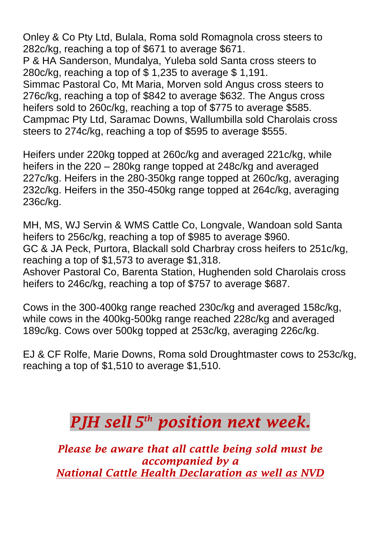Onley & Co Pty Ltd, Bulala, Roma sold Romagnola cross steers to 282c/kg, reaching a top of \$671 to average \$671. P & HA Sanderson, Mundalya, Yuleba sold Santa cross steers to 280c/kg, reaching a top of \$ 1,235 to average \$ 1,191. Simmac Pastoral Co, Mt Maria, Morven sold Angus cross steers to 276c/kg, reaching a top of \$842 to average \$632. The Angus cross heifers sold to 260c/kg, reaching a top of \$775 to average \$585.

Campmac Pty Ltd, Saramac Downs, Wallumbilla sold Charolais cross steers to 274c/kg, reaching a top of \$595 to average \$555.

Heifers under 220kg topped at 260c/kg and averaged 221c/kg, while heifers in the 220 – 280kg range topped at 248c/kg and averaged 227c/kg. Heifers in the 280-350kg range topped at 260c/kg, averaging 232c/kg. Heifers in the 350-450kg range topped at 264c/kg, averaging 236c/kg.

MH, MS, WJ Servin & WMS Cattle Co, Longvale, Wandoan sold Santa heifers to 256c/kg, reaching a top of \$985 to average \$960. GC & JA Peck, Purtora, Blackall sold Charbray cross heifers to 251c/kg, reaching a top of \$1,573 to average \$1,318. Ashover Pastoral Co, Barenta Station, Hughenden sold Charolais cross

heifers to 246c/kg, reaching a top of \$757 to average \$687.

Cows in the 300-400kg range reached 230c/kg and averaged 158c/kg, while cows in the 400kg-500kg range reached 228c/kg and averaged 189c/kg. Cows over 500kg topped at 253c/kg, averaging 226c/kg.

EJ & CF Rolfe, Marie Downs, Roma sold Droughtmaster cows to 253c/kg, reaching a top of \$1,510 to average \$1,510.

## *PJH sell 5 th position next week.*

*Please be aware that all cattle being sold must be accompanied by a National Cattle Health Declaration as well as NVD*